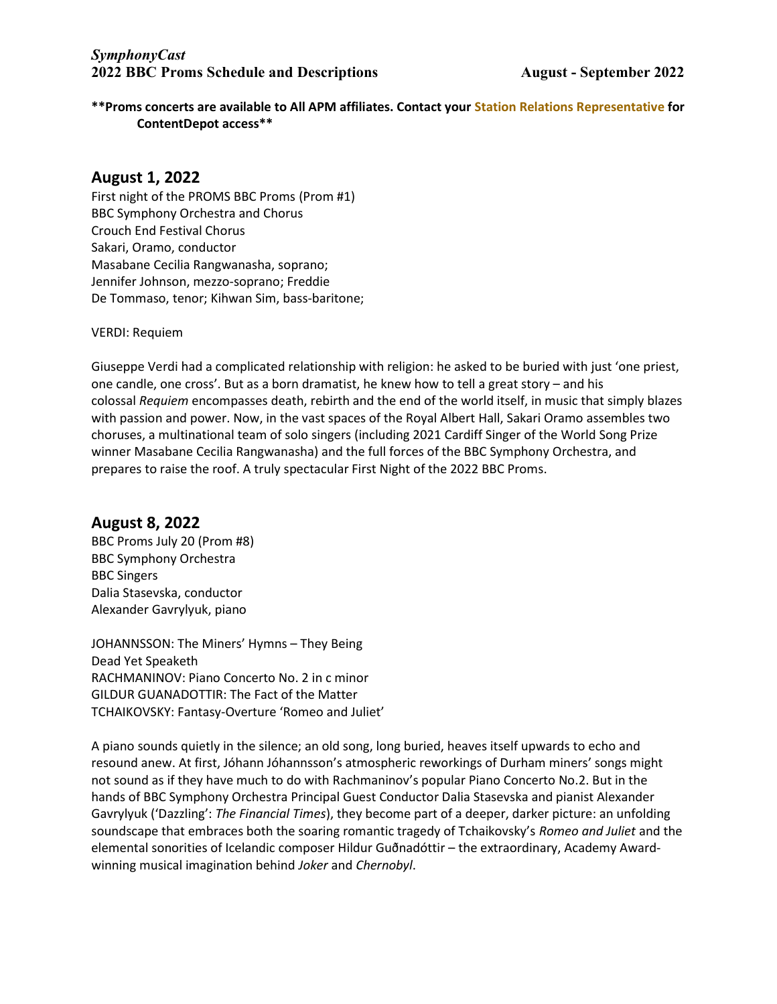\*\*Proms concerts are available to All APM affiliates. Contact your Station Relations Representative for ContentDepot access\*\*

## August 1, 2022

First night of the PROMS BBC Proms (Prom #1) BBC Symphony Orchestra and Chorus Crouch End Festival Chorus Sakari, Oramo, conductor Masabane Cecilia Rangwanasha, soprano; Jennifer Johnson, mezzo-soprano; Freddie De Tommaso, tenor; Kihwan Sim, bass-baritone;

VERDI: Requiem

Giuseppe Verdi had a complicated relationship with religion: he asked to be buried with just 'one priest, one candle, one cross'. But as a born dramatist, he knew how to tell a great story – and his colossal Requiem encompasses death, rebirth and the end of the world itself, in music that simply blazes with passion and power. Now, in the vast spaces of the Royal Albert Hall, Sakari Oramo assembles two choruses, a multinational team of solo singers (including 2021 Cardiff Singer of the World Song Prize winner Masabane Cecilia Rangwanasha) and the full forces of the BBC Symphony Orchestra, and prepares to raise the roof. A truly spectacular First Night of the 2022 BBC Proms.

#### August 8, 2022

BBC Proms July 20 (Prom #8) BBC Symphony Orchestra BBC Singers Dalia Stasevska, conductor Alexander Gavrylyuk, piano

JOHANNSSON: The Miners' Hymns – They Being Dead Yet Speaketh RACHMANINOV: Piano Concerto No. 2 in c minor GILDUR GUANADOTTIR: The Fact of the Matter TCHAIKOVSKY: Fantasy-Overture 'Romeo and Juliet'

A piano sounds quietly in the silence; an old song, long buried, heaves itself upwards to echo and resound anew. At first, Jóhann Jóhannsson's atmospheric reworkings of Durham miners' songs might not sound as if they have much to do with Rachmaninov's popular Piano Concerto No.2. But in the hands of BBC Symphony Orchestra Principal Guest Conductor Dalia Stasevska and pianist Alexander Gavrylyuk ('Dazzling': The Financial Times), they become part of a deeper, darker picture: an unfolding soundscape that embraces both the soaring romantic tragedy of Tchaikovsky's Romeo and Juliet and the elemental sonorities of Icelandic composer Hildur Guðnadóttir – the extraordinary, Academy Awardwinning musical imagination behind Joker and Chernobyl.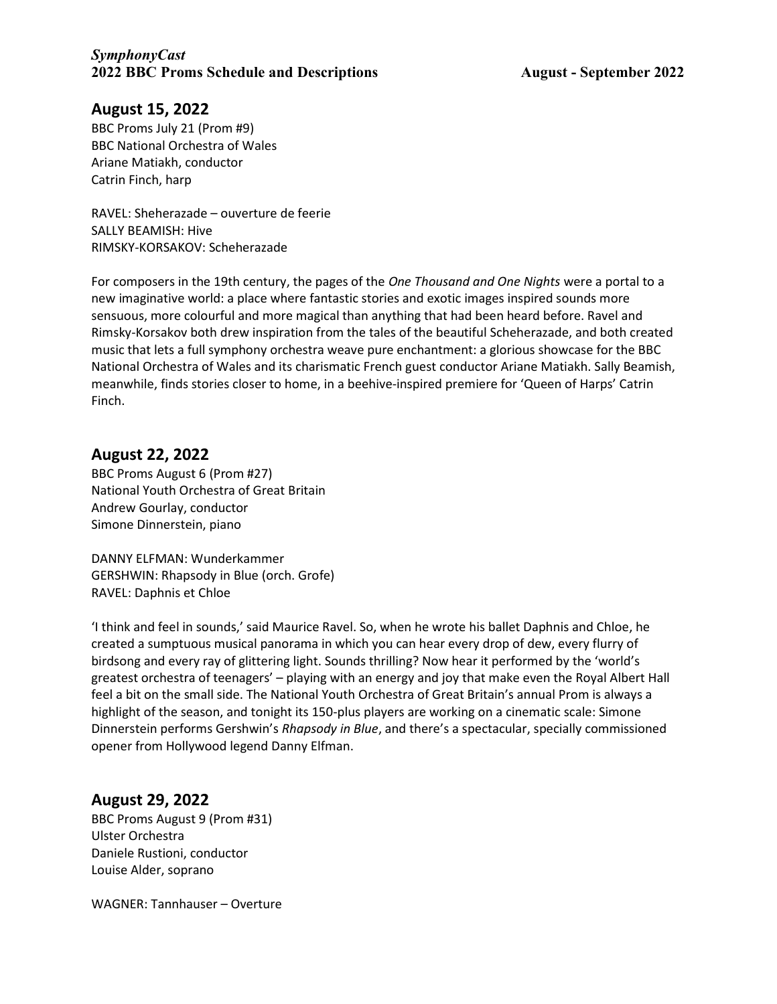## August 15, 2022

BBC Proms July 21 (Prom #9) BBC National Orchestra of Wales Ariane Matiakh, conductor Catrin Finch, harp

RAVEL: Sheherazade – ouverture de feerie SALLY BEAMISH: Hive RIMSKY-KORSAKOV: Scheherazade

For composers in the 19th century, the pages of the One Thousand and One Nights were a portal to a new imaginative world: a place where fantastic stories and exotic images inspired sounds more sensuous, more colourful and more magical than anything that had been heard before. Ravel and Rimsky-Korsakov both drew inspiration from the tales of the beautiful Scheherazade, and both created music that lets a full symphony orchestra weave pure enchantment: a glorious showcase for the BBC National Orchestra of Wales and its charismatic French guest conductor Ariane Matiakh. Sally Beamish, meanwhile, finds stories closer to home, in a beehive-inspired premiere for 'Queen of Harps' Catrin Finch.

## August 22, 2022

BBC Proms August 6 (Prom #27) National Youth Orchestra of Great Britain Andrew Gourlay, conductor Simone Dinnerstein, piano

DANNY ELFMAN: Wunderkammer GERSHWIN: Rhapsody in Blue (orch. Grofe) RAVEL: Daphnis et Chloe

'I think and feel in sounds,' said Maurice Ravel. So, when he wrote his ballet Daphnis and Chloe, he created a sumptuous musical panorama in which you can hear every drop of dew, every flurry of birdsong and every ray of glittering light. Sounds thrilling? Now hear it performed by the 'world's greatest orchestra of teenagers' – playing with an energy and joy that make even the Royal Albert Hall feel a bit on the small side. The National Youth Orchestra of Great Britain's annual Prom is always a highlight of the season, and tonight its 150-plus players are working on a cinematic scale: Simone Dinnerstein performs Gershwin's Rhapsody in Blue, and there's a spectacular, specially commissioned opener from Hollywood legend Danny Elfman.

## August 29, 2022

BBC Proms August 9 (Prom #31) Ulster Orchestra Daniele Rustioni, conductor Louise Alder, soprano

WAGNER: Tannhauser – Overture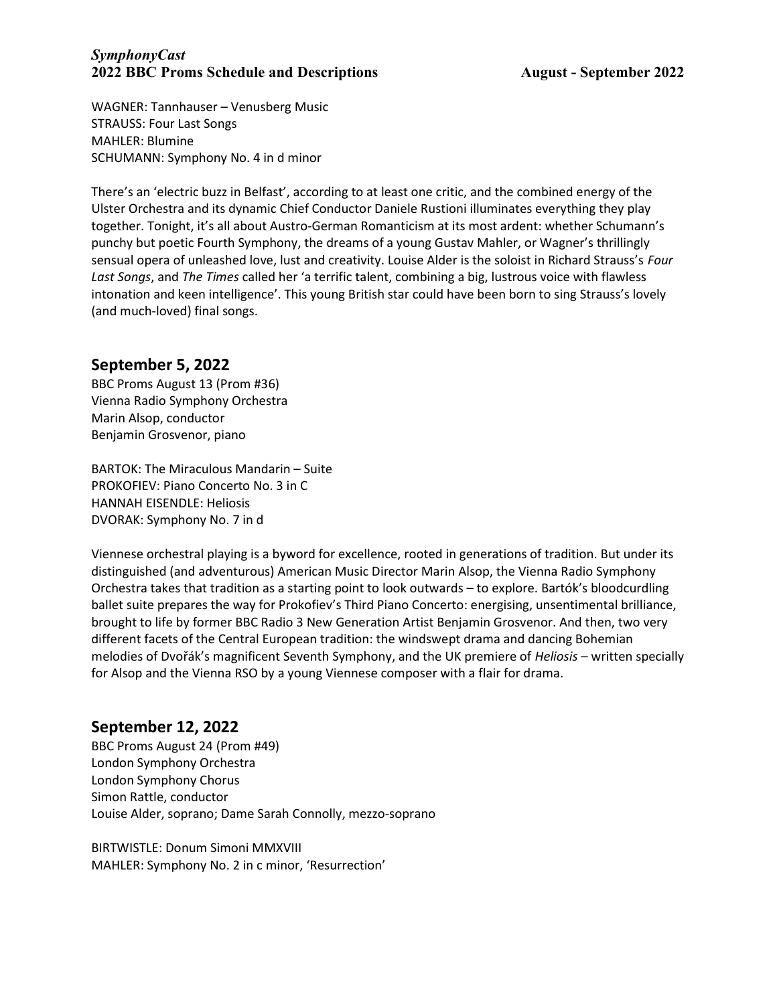WAGNER: Tannhauser – Venusberg Music STRAUSS: Four Last Songs MAHLER: Blumine SCHUMANN: Symphony No. 4 in d minor

There's an 'electric buzz in Belfast', according to at least one critic, and the combined energy of the Ulster Orchestra and its dynamic Chief Conductor Daniele Rustioni illuminates everything they play together. Tonight, it's all about Austro-German Romanticism at its most ardent: whether Schumann's punchy but poetic Fourth Symphony, the dreams of a young Gustav Mahler, or Wagner's thrillingly sensual opera of unleashed love, lust and creativity. Louise Alder is the soloist in Richard Strauss's Four Last Songs, and The Times called her 'a terrific talent, combining a big, lustrous voice with flawless intonation and keen intelligence'. This young British star could have been born to sing Strauss's lovely (and much-loved) final songs.

# September 5, 2022

BBC Proms August 13 (Prom #36) Vienna Radio Symphony Orchestra Marin Alsop, conductor Benjamin Grosvenor, piano

BARTOK: The Miraculous Mandarin – Suite PROKOFIEV: Piano Concerto No. 3 in C HANNAH EISENDLE: Heliosis DVORAK: Symphony No. 7 in d

Viennese orchestral playing is a byword for excellence, rooted in generations of tradition. But under its distinguished (and adventurous) American Music Director Marin Alsop, the Vienna Radio Symphony Orchestra takes that tradition as a starting point to look outwards – to explore. Bartók's bloodcurdling ballet suite prepares the way for Prokofiev's Third Piano Concerto: energising, unsentimental brilliance, brought to life by former BBC Radio 3 New Generation Artist Benjamin Grosvenor. And then, two very different facets of the Central European tradition: the windswept drama and dancing Bohemian melodies of Dvořák's magnificent Seventh Symphony, and the UK premiere of *Heliosis* – written specially for Alsop and the Vienna RSO by a young Viennese composer with a flair for drama.

# September 12, 2022

BBC Proms August 24 (Prom #49) London Symphony Orchestra London Symphony Chorus Simon Rattle, conductor Louise Alder, soprano; Dame Sarah Connolly, mezzo-soprano

BIRTWISTLE: Donum Simoni MMXVIII MAHLER: Symphony No. 2 in c minor, 'Resurrection'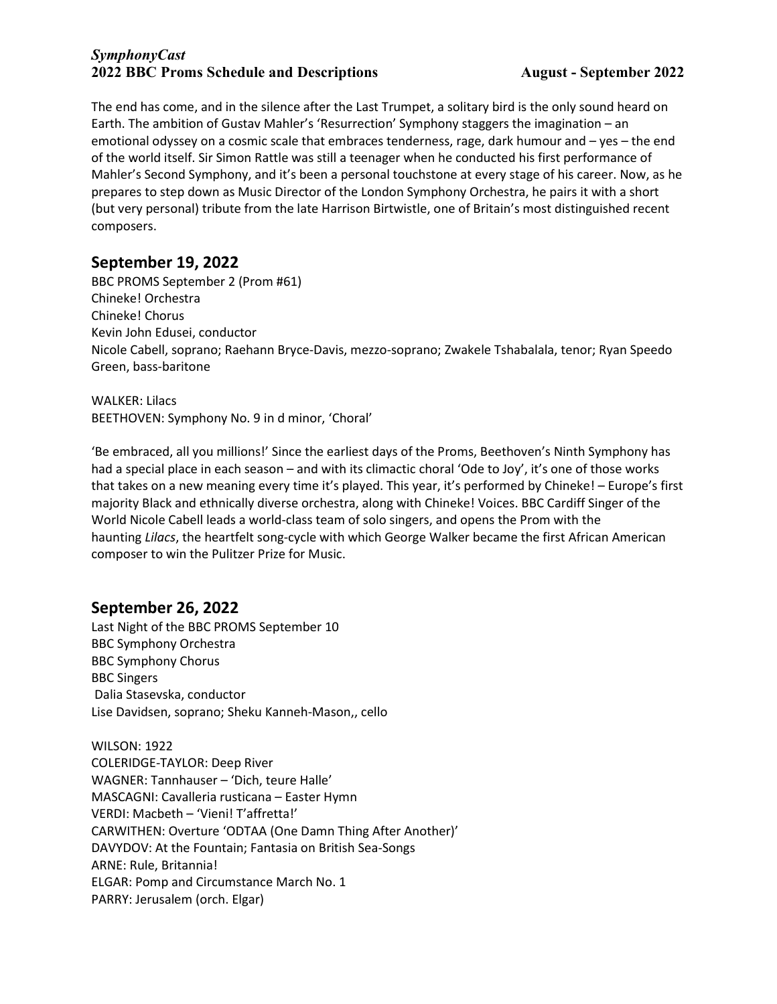The end has come, and in the silence after the Last Trumpet, a solitary bird is the only sound heard on Earth. The ambition of Gustav Mahler's 'Resurrection' Symphony staggers the imagination – an emotional odyssey on a cosmic scale that embraces tenderness, rage, dark humour and – yes – the end of the world itself. Sir Simon Rattle was still a teenager when he conducted his first performance of Mahler's Second Symphony, and it's been a personal touchstone at every stage of his career. Now, as he prepares to step down as Music Director of the London Symphony Orchestra, he pairs it with a short (but very personal) tribute from the late Harrison Birtwistle, one of Britain's most distinguished recent composers.

# September 19, 2022

BBC PROMS September 2 (Prom #61) Chineke! Orchestra Chineke! Chorus Kevin John Edusei, conductor Nicole Cabell, soprano; Raehann Bryce-Davis, mezzo-soprano; Zwakele Tshabalala, tenor; Ryan Speedo Green, bass-baritone

WALKER: Lilacs BEETHOVEN: Symphony No. 9 in d minor, 'Choral'

'Be embraced, all you millions!' Since the earliest days of the Proms, Beethoven's Ninth Symphony has had a special place in each season – and with its climactic choral 'Ode to Joy', it's one of those works that takes on a new meaning every time it's played. This year, it's performed by Chineke! – Europe's first majority Black and ethnically diverse orchestra, along with Chineke! Voices. BBC Cardiff Singer of the World Nicole Cabell leads a world-class team of solo singers, and opens the Prom with the haunting Lilacs, the heartfelt song-cycle with which George Walker became the first African American composer to win the Pulitzer Prize for Music.

# September 26, 2022

Last Night of the BBC PROMS September 10 BBC Symphony Orchestra BBC Symphony Chorus BBC Singers Dalia Stasevska, conductor Lise Davidsen, soprano; Sheku Kanneh-Mason,, cello

WILSON: 1922 COLERIDGE-TAYLOR: Deep River WAGNER: Tannhauser – 'Dich, teure Halle' MASCAGNI: Cavalleria rusticana – Easter Hymn VERDI: Macbeth – 'Vieni! T'affretta!' CARWITHEN: Overture 'ODTAA (One Damn Thing After Another)' DAVYDOV: At the Fountain; Fantasia on British Sea-Songs ARNE: Rule, Britannia! ELGAR: Pomp and Circumstance March No. 1 PARRY: Jerusalem (orch. Elgar)